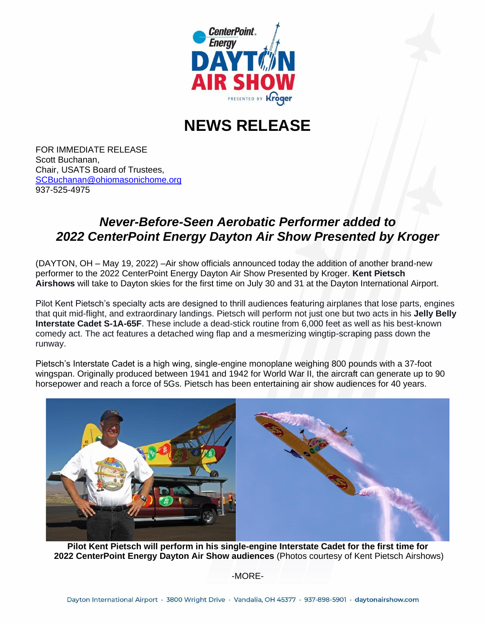

## **NEWS RELEASE**

FOR IMMEDIATE RELEASE Scott Buchanan, Chair, USATS Board of Trustees, [SCBuchanan@ohiomasonichome.org](about:blank) 937-525-4975

## *Never-Before-Seen Aerobatic Performer added to 2022 CenterPoint Energy Dayton Air Show Presented by Kroger*

(DAYTON, OH – May 19, 2022) –Air show officials announced today the addition of another brand-new performer to the 2022 CenterPoint Energy Dayton Air Show Presented by Kroger. **Kent Pietsch Airshows** will take to Dayton skies for the first time on July 30 and 31 at the Dayton International Airport.

Pilot Kent Pietsch's specialty acts are designed to thrill audiences featuring airplanes that lose parts, engines that quit mid-flight, and extraordinary landings. Pietsch will perform not just one but two acts in his **Jelly Belly Interstate Cadet S-1A-65F**. These include a dead-stick routine from 6,000 feet as well as his best-known comedy act. The act features a detached wing flap and a mesmerizing wingtip-scraping pass down the runway.

Pietsch's Interstate Cadet is a high wing, single-engine monoplane weighing 800 pounds with a 37-foot wingspan. Originally produced between 1941 and 1942 for World War II, the aircraft can generate up to 90 horsepower and reach a force of 5Gs. Pietsch has been entertaining air show audiences for 40 years.



**Pilot Kent Pietsch will perform in his single-engine Interstate Cadet for the first time for 2022 CenterPoint Energy Dayton Air Show audiences** (Photos courtesy of Kent Pietsch Airshows)

-MORE-